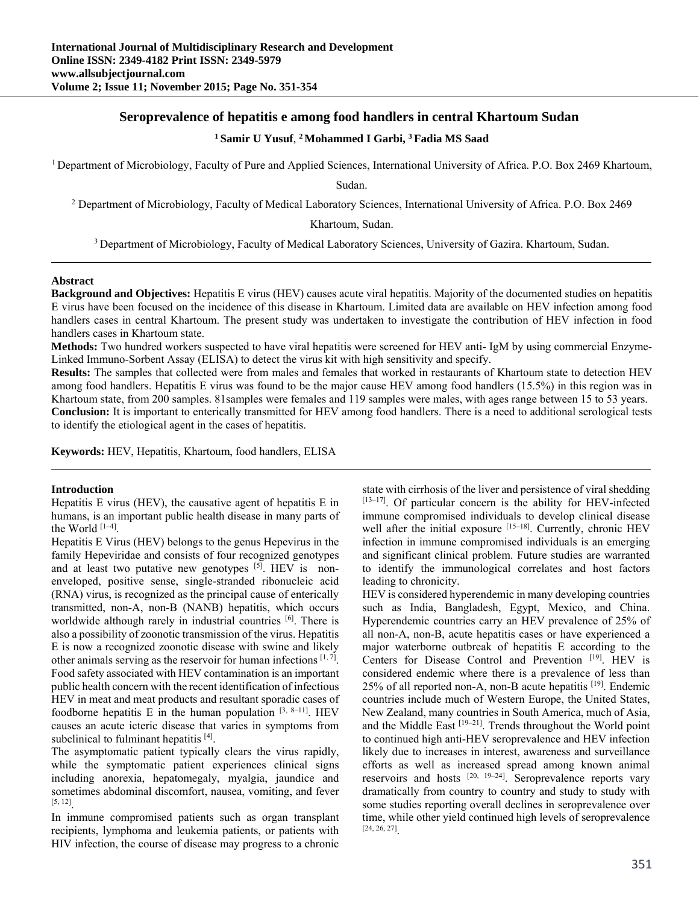# **Seroprevalence of hepatitis e among food handlers in central Khartoum Sudan**

# **1 Samir U Yusuf**, **2 Mohammed I Garbi, 3 Fadia MS Saad**

1 Department of Microbiology, Faculty of Pure and Applied Sciences, International University of Africa. P.O. Box 2469 Khartoum,

Sudan.

<sup>2</sup> Department of Microbiology, Faculty of Medical Laboratory Sciences, International University of Africa. P.O. Box 2469

Khartoum, Sudan.

3 Department of Microbiology, Faculty of Medical Laboratory Sciences, University of Gazira. Khartoum, Sudan.

#### **Abstract**

**Background and Objectives:** Hepatitis E virus (HEV) causes acute viral hepatitis. Majority of the documented studies on hepatitis E virus have been focused on the incidence of this disease in Khartoum. Limited data are available on HEV infection among food handlers cases in central Khartoum. The present study was undertaken to investigate the contribution of HEV infection in food handlers cases in Khartoum state.

**Methods:** Two hundred workers suspected to have viral hepatitis were screened for HEV anti- IgM by using commercial Enzyme-Linked Immuno-Sorbent Assay (ELISA) to detect the virus kit with high sensitivity and specify.

**Results:** The samples that collected were from males and females that worked in restaurants of Khartoum state to detection HEV among food handlers. Hepatitis E virus was found to be the major cause HEV among food handlers (15.5%) in this region was in Khartoum state, from 200 samples. 81samples were females and 119 samples were males, with ages range between 15 to 53 years. **Conclusion:** It is important to enterically transmitted for HEV among food handlers. There is a need to additional serological tests to identify the etiological agent in the cases of hepatitis.

**Keywords:** HEV, Hepatitis, Khartoum, food handlers, ELISA

### **Introduction**

Hepatitis E virus (HEV), the causative agent of hepatitis E in humans, is an important public health disease in many parts of the World  $[1-4]$ .

Hepatitis E Virus (HEV) belongs to the genus Hepevirus in the family Hepeviridae and consists of four recognized genotypes and at least two putative new genotypes  $[5]$ . HEV is nonenveloped, positive sense, single-stranded ribonucleic acid (RNA) virus, is recognized as the principal cause of enterically transmitted, non-A, non-B (NANB) hepatitis, which occurs worldwide although rarely in industrial countries [6]. There is also a possibility of zoonotic transmission of the virus. Hepatitis E is now a recognized zoonotic disease with swine and likely other animals serving as the reservoir for human infections  $[1, 7]$ . Food safety associated with HEV contamination is an important public health concern with the recent identification of infectious HEV in meat and meat products and resultant sporadic cases of foodborne hepatitis E in the human population  $[3, 8-11]$ . HEV causes an acute icteric disease that varies in symptoms from subclinical to fulminant hepatitis [4].

The asymptomatic patient typically clears the virus rapidly, while the symptomatic patient experiences clinical signs including anorexia, hepatomegaly, myalgia, jaundice and sometimes abdominal discomfort, nausea, vomiting, and fever [5, 12].

In immune compromised patients such as organ transplant recipients, lymphoma and leukemia patients, or patients with HIV infection, the course of disease may progress to a chronic

state with cirrhosis of the liver and persistence of viral shedding [13-17]. Of particular concern is the ability for HEV-infected immune compromised individuals to develop clinical disease well after the initial exposure [15-18]. Currently, chronic HEV infection in immune compromised individuals is an emerging and significant clinical problem. Future studies are warranted to identify the immunological correlates and host factors leading to chronicity.

HEV is considered hyperendemic in many developing countries such as India, Bangladesh, Egypt, Mexico, and China. Hyperendemic countries carry an HEV prevalence of 25% of all non-A, non-B, acute hepatitis cases or have experienced a major waterborne outbreak of hepatitis E according to the Centers for Disease Control and Prevention [19]. HEV is considered endemic where there is a prevalence of less than 25% of all reported non-A, non-B acute hepatitis [19]. Endemic countries include much of Western Europe, the United States, New Zealand, many countries in South America, much of Asia, and the Middle East [19–21]. Trends throughout the World point to continued high anti-HEV seroprevalence and HEV infection likely due to increases in interest, awareness and surveillance efforts as well as increased spread among known animal reservoirs and hosts  $^{[20, 19-24]}$ . Seroprevalence reports vary dramatically from country to country and study to study with some studies reporting overall declines in seroprevalence over time, while other yield continued high levels of seroprevalence [24, 26, 27].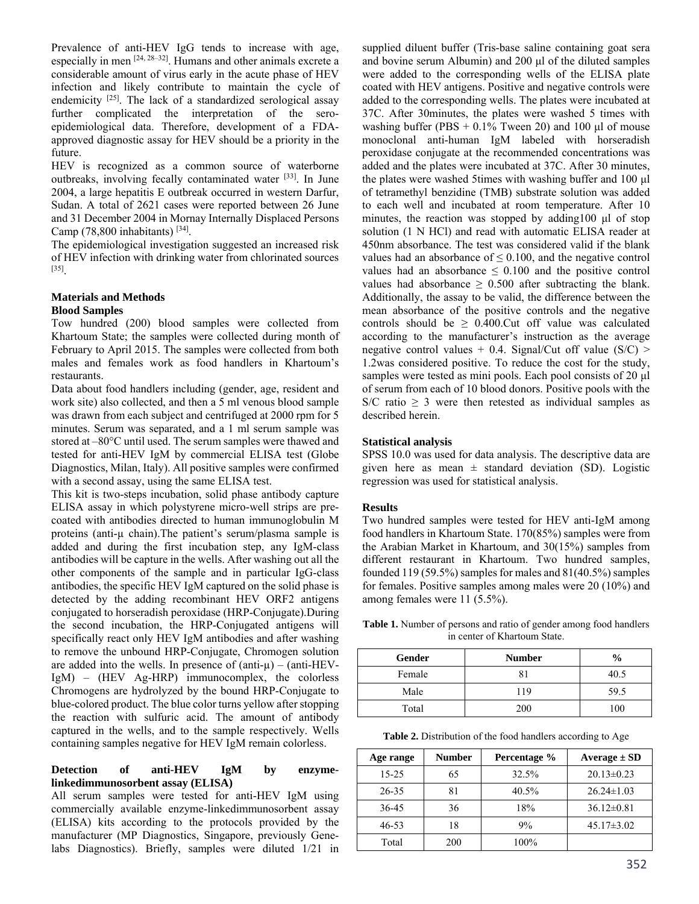Prevalence of anti-HEV IgG tends to increase with age, especially in men [24, 28–32]. Humans and other animals excrete a considerable amount of virus early in the acute phase of HEV infection and likely contribute to maintain the cycle of endemicity <sup>[25]</sup>. The lack of a standardized serological assay further complicated the interpretation of the seroepidemiological data. Therefore, development of a FDAapproved diagnostic assay for HEV should be a priority in the future.

HEV is recognized as a common source of waterborne outbreaks, involving fecally contaminated water [33]. In June 2004, a large hepatitis E outbreak occurred in western Darfur, Sudan. A total of 2621 cases were reported between 26 June and 31 December 2004 in Mornay Internally Displaced Persons Camp  $(78,800)$  inhabitants)  $^{[34]}$ .

The epidemiological investigation suggested an increased risk of HEV infection with drinking water from chlorinated sources [35].

#### **Materials and Methods Blood Samples**

Tow hundred (200) blood samples were collected from Khartoum State; the samples were collected during month of February to April 2015. The samples were collected from both males and females work as food handlers in Khartoum's restaurants.

Data about food handlers including (gender, age, resident and work site) also collected, and then a 5 ml venous blood sample was drawn from each subject and centrifuged at 2000 rpm for 5 minutes. Serum was separated, and a 1 ml serum sample was stored at –80°C until used. The serum samples were thawed and tested for anti-HEV IgM by commercial ELISA test (Globe Diagnostics, Milan, Italy). All positive samples were confirmed with a second assay, using the same ELISA test.

This kit is two-steps incubation, solid phase antibody capture ELISA assay in which polystyrene micro-well strips are precoated with antibodies directed to human immunoglobulin M proteins (anti-µ chain).The patient's serum/plasma sample is added and during the first incubation step, any IgM-class antibodies will be capture in the wells. After washing out all the other components of the sample and in particular IgG-class antibodies, the specific HEV IgM captured on the solid phase is detected by the adding recombinant HEV ORF2 antigens conjugated to horseradish peroxidase (HRP-Conjugate).During the second incubation, the HRP-Conjugated antigens will specifically react only HEV IgM antibodies and after washing to remove the unbound HRP-Conjugate, Chromogen solution are added into the wells. In presence of  $(anti-\mu) - (anti-HEV-$ IgM) – (HEV Ag-HRP) immunocomplex, the colorless Chromogens are hydrolyzed by the bound HRP-Conjugate to blue-colored product. The blue color turns yellow after stopping the reaction with sulfuric acid. The amount of antibody captured in the wells, and to the sample respectively. Wells containing samples negative for HEV IgM remain colorless.

#### **Detection of anti-HEV IgM by enzymelinkedimmunosorbent assay (ELISA)**

All serum samples were tested for anti-HEV IgM using commercially available enzyme-linkedimmunosorbent assay (ELISA) kits according to the protocols provided by the manufacturer (MP Diagnostics, Singapore, previously Genelabs Diagnostics). Briefly, samples were diluted 1/21 in

supplied diluent buffer (Tris-base saline containing goat sera and bovine serum Albumin) and 200 μl of the diluted samples were added to the corresponding wells of the ELISA plate coated with HEV antigens. Positive and negative controls were added to the corresponding wells. The plates were incubated at 37C. After 30minutes, the plates were washed 5 times with washing buffer (PBS  $+ 0.1\%$  Tween 20) and 100 μl of mouse monoclonal anti-human IgM labeled with horseradish peroxidase conjugate at the recommended concentrations was added and the plates were incubated at 37C. After 30 minutes, the plates were washed 5times with washing buffer and 100 μl of tetramethyl benzidine (TMB) substrate solution was added to each well and incubated at room temperature. After 10 minutes, the reaction was stopped by adding100 μl of stop solution (1 N HCl) and read with automatic ELISA reader at 450nm absorbance. The test was considered valid if the blank values had an absorbance of  $\leq 0.100$ , and the negative control values had an absorbance  $\leq 0.100$  and the positive control values had absorbance  $\geq 0.500$  after subtracting the blank. Additionally, the assay to be valid, the difference between the mean absorbance of the positive controls and the negative controls should be  $\geq$  0.400. Cut off value was calculated according to the manufacturer's instruction as the average negative control values  $+$  0.4. Signal/Cut off value (S/C)  $>$ 1.2was considered positive. To reduce the cost for the study, samples were tested as mini pools. Each pool consists of 20 μl of serum from each of 10 blood donors. Positive pools with the S/C ratio  $\geq$  3 were then retested as individual samples as described herein.

## **Statistical analysis**

SPSS 10.0 was used for data analysis. The descriptive data are given here as mean  $\pm$  standard deviation (SD). Logistic regression was used for statistical analysis.

## **Results**

Two hundred samples were tested for HEV anti-IgM among food handlers in Khartoum State. 170(85%) samples were from the Arabian Market in Khartoum, and 30(15%) samples from different restaurant in Khartoum. Two hundred samples, founded 119 (59.5%) samples for males and 81(40.5%) samples for females. Positive samples among males were 20 (10%) and among females were 11 (5.5%).

**Table 1.** Number of persons and ratio of gender among food handlers in center of Khartoum State.

| Gender | <b>Number</b> | $\frac{6}{9}$ |
|--------|---------------|---------------|
| Female |               | 40.5          |
| Male   | 119           | 59.5          |
| Total  | 200           | 100           |

**Table 2.** Distribution of the food handlers according to Age

| Age range | <b>Number</b> | Percentage % | Average $\pm$ SD |
|-----------|---------------|--------------|------------------|
| $15 - 25$ | 65            | 32.5%        | $20.13 \pm 0.23$ |
| 26-35     | 81            | 40.5%        | $26.24 \pm 1.03$ |
| 36-45     | 36            | 18%          | $36.12 \pm 0.81$ |
| $46 - 53$ | 18            | 9%           | $45.17 \pm 3.02$ |
| Total     | 200           | 100%         |                  |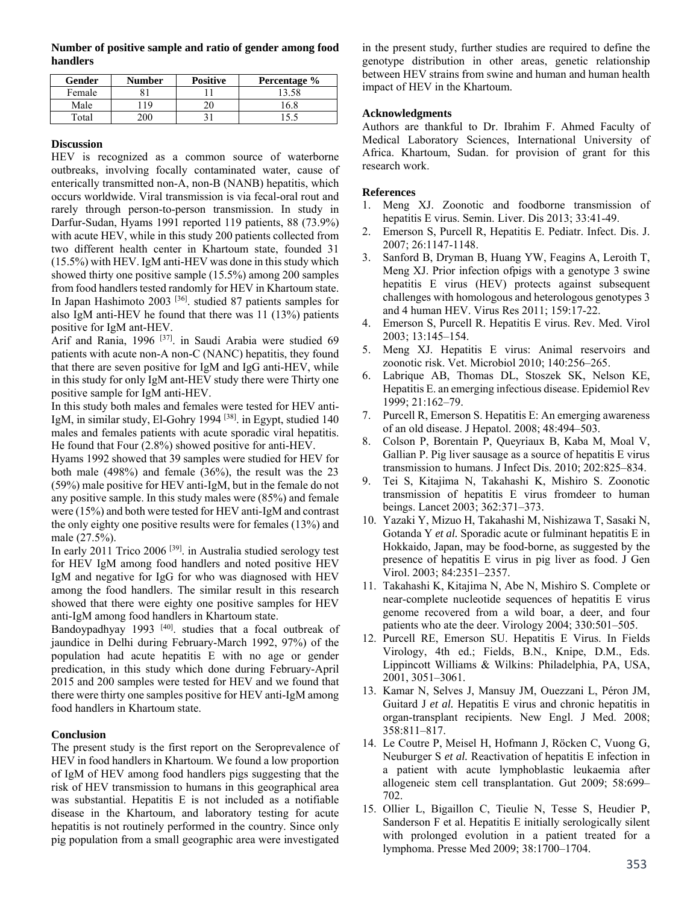**Number of positive sample and ratio of gender among food handlers**

| Gender | <b>Number</b> | <b>Positive</b> | Percentage % |
|--------|---------------|-----------------|--------------|
| Female |               |                 | 13.58        |
| Male   | 1 Q           |                 | 16 S         |
| Total  | ነበር           |                 |              |

#### **Discussion**

HEV is recognized as a common source of waterborne outbreaks, involving focally contaminated water, cause of enterically transmitted non-A, non-B (NANB) hepatitis, which occurs worldwide. Viral transmission is via fecal-oral rout and rarely through person-to-person transmission. In study in Darfur-Sudan, Hyams 1991 reported 119 patients, 88 (73.9%) with acute HEV, while in this study 200 patients collected from two different health center in Khartoum state, founded 31 (15.5%) with HEV. IgM anti-HEV was done in this study which showed thirty one positive sample (15.5%) among 200 samples from food handlers tested randomly for HEV in Khartoum state. In Japan Hashimoto 2003 [36]. studied 87 patients samples for also IgM anti-HEV he found that there was 11 (13%) patients positive for IgM ant-HEV.

Arif and Rania, 1996<sup>[37]</sup>. in Saudi Arabia were studied 69 patients with acute non-A non-C (NANC) hepatitis, they found that there are seven positive for IgM and IgG anti-HEV, while in this study for only IgM ant-HEV study there were Thirty one positive sample for IgM anti-HEV.

In this study both males and females were tested for HEV anti-IgM, in similar study, El-Gohry 1994 [38]. in Egypt, studied 140 males and females patients with acute sporadic viral hepatitis. He found that Four (2.8%) showed positive for anti-HEV.

Hyams 1992 showed that 39 samples were studied for HEV for both male (498%) and female (36%), the result was the 23 (59%) male positive for HEV anti-IgM, but in the female do not any positive sample. In this study males were (85%) and female were (15%) and both were tested for HEV anti-IgM and contrast the only eighty one positive results were for females (13%) and male (27.5%).

In early 2011 Trico 2006 [39]. in Australia studied serology test for HEV IgM among food handlers and noted positive HEV IgM and negative for IgG for who was diagnosed with HEV among the food handlers. The similar result in this research showed that there were eighty one positive samples for HEV anti-IgM among food handlers in Khartoum state.

Bandoypadhyay 1993  $[40]$ . studies that a focal outbreak of jaundice in Delhi during February-March 1992, 97%) of the population had acute hepatitis E with no age or gender predication, in this study which done during February-April 2015 and 200 samples were tested for HEV and we found that there were thirty one samples positive for HEV anti-IgM among food handlers in Khartoum state.

## **Conclusion**

The present study is the first report on the Seroprevalence of HEV in food handlers in Khartoum. We found a low proportion of IgM of HEV among food handlers pigs suggesting that the risk of HEV transmission to humans in this geographical area was substantial. Hepatitis E is not included as a notifiable disease in the Khartoum, and laboratory testing for acute hepatitis is not routinely performed in the country. Since only pig population from a small geographic area were investigated

in the present study, further studies are required to define the genotype distribution in other areas, genetic relationship between HEV strains from swine and human and human health impact of HEV in the Khartoum.

## **Acknowledgments**

Authors are thankful to Dr. Ibrahim F. Ahmed Faculty of Medical Laboratory Sciences, International University of Africa. Khartoum, Sudan. for provision of grant for this research work.

### **References**

- 1. Meng XJ. Zoonotic and foodborne transmission of hepatitis E virus. Semin. Liver. Dis 2013; 33:41-49.
- 2. Emerson S, Purcell R, Hepatitis E. Pediatr. Infect. Dis. J. 2007; 26:1147-1148.
- 3. Sanford B, Dryman B, Huang YW, Feagins A, Leroith T, Meng XJ. Prior infection ofpigs with a genotype 3 swine hepatitis E virus (HEV) protects against subsequent challenges with homologous and heterologous genotypes 3 and 4 human HEV. Virus Res 2011; 159:17-22.
- 4. Emerson S, Purcell R. Hepatitis E virus. Rev. Med. Virol 2003; 13:145–154.
- 5. Meng XJ. Hepatitis E virus: Animal reservoirs and zoonotic risk. Vet. Microbiol 2010; 140:256–265.
- 6. Labrique AB, Thomas DL, Stoszek SK, Nelson KE, Hepatitis E. an emerging infectious disease. Epidemiol Rev 1999; 21:162–79.
- 7. Purcell R, Emerson S. Hepatitis E: An emerging awareness of an old disease. J Hepatol. 2008; 48:494–503.
- 8. Colson P, Borentain P, Queyriaux B, Kaba M, Moal V, Gallian P. Pig liver sausage as a source of hepatitis E virus transmission to humans. J Infect Dis. 2010; 202:825–834.
- 9. Tei S, Kitajima N, Takahashi K, Mishiro S. Zoonotic transmission of hepatitis E virus fromdeer to human beings. Lancet 2003; 362:371–373.
- 10. Yazaki Y, Mizuo H, Takahashi M, Nishizawa T, Sasaki N, Gotanda Y *et al.* Sporadic acute or fulminant hepatitis E in Hokkaido, Japan, may be food-borne, as suggested by the presence of hepatitis E virus in pig liver as food. J Gen Virol. 2003; 84:2351–2357.
- 11. Takahashi K, Kitajima N, Abe N, Mishiro S. Complete or near-complete nucleotide sequences of hepatitis E virus genome recovered from a wild boar, a deer, and four patients who ate the deer. Virology 2004; 330:501–505.
- 12. Purcell RE, Emerson SU. Hepatitis E Virus. In Fields Virology, 4th ed.; Fields, B.N., Knipe, D.M., Eds. Lippincott Williams & Wilkins: Philadelphia, PA, USA, 2001, 3051–3061.
- 13. Kamar N, Selves J, Mansuy JM, Ouezzani L, Péron JM, Guitard J *et al.* Hepatitis E virus and chronic hepatitis in organ-transplant recipients. New Engl. J Med. 2008; 358:811–817.
- 14. Le Coutre P, Meisel H, Hofmann J, Röcken C, Vuong G, Neuburger S *et al.* Reactivation of hepatitis E infection in a patient with acute lymphoblastic leukaemia after allogeneic stem cell transplantation. Gut 2009; 58:699– 702.
- 15. Ollier L, Bigaillon C, Tieulie N, Tesse S, Heudier P, Sanderson F et al. Hepatitis E initially serologically silent with prolonged evolution in a patient treated for a lymphoma. Presse Med 2009; 38:1700–1704.